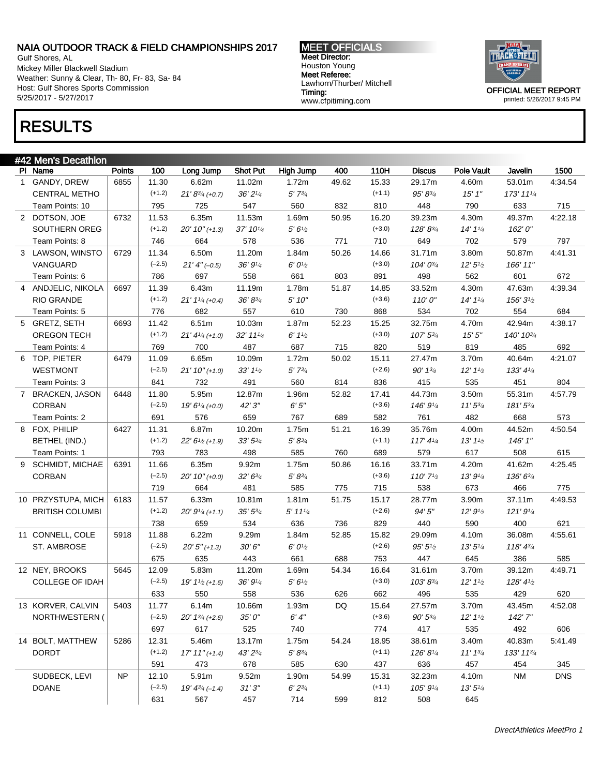Gulf Shores, AL Mickey Miller Blackwell Stadium Weather: Sunny & Clear, Th- 80, Fr- 83, Sa- 84 Host: Gulf Shores Sports Commission 5/25/2017 - 5/27/2017

MEET OFFICIALS Meet Director: Houston Young Meet Referee: Lawhorn/Thurber/ Mitchell Timing: www.cfpitiming.com



printed: 5/26/2017 9:45 PM

# RESULTS

| #42 Men's Decathlon         |           |                   |                               |                        |                       |       |                   |                                    |                                   |                     |            |
|-----------------------------|-----------|-------------------|-------------------------------|------------------------|-----------------------|-------|-------------------|------------------------------------|-----------------------------------|---------------------|------------|
| PI Name                     | Points    | 100               | Long Jump                     | <b>Shot Put</b>        | <b>High Jump</b>      | 400   | 110H              | <b>Discus</b>                      | Pole Vault                        | Javelin             | 1500       |
| 1 GANDY, DREW               | 6855      | 11.30             | 6.62m                         | 11.02m                 | 1.72m                 | 49.62 | 15.33             | 29.17m                             | 4.60m                             | 53.01m              | 4:34.54    |
| <b>CENTRAL METHO</b>        |           | $(+1.2)$          | $21' 8^{3/4}$ (+0.7)          | 36'21/4                | $5'$ $7^{3/4}$        |       | $(+1.1)$          | 95' 83/4                           | 15'1''                            | 173' 111/4          |            |
| Team Points: 10             |           | 795               | 725                           | 547                    | 560                   | 832   | 810               | 448                                | 790                               | 633                 | 715        |
| 2 DOTSON, JOE               | 6732      | 11.53             | 6.35m                         | 11.53m                 | 1.69m                 | 50.95 | 16.20             | 39.23m                             | 4.30m                             | 49.37m              | 4:22.18    |
| SOUTHERN OREG               |           | $(+1.2)$          | $20'10''(+1.3)$               | 37' 101/4              | 5'6'' <sub>2</sub>    |       | $(+3.0)$          | 128'83/4                           | $14' 1\frac{1}{4}$                | 162'0"              |            |
| Team Points: 8              |           | 746               | 664                           | 578                    | 536                   | 771   | 710               | 649                                | 702                               | 579                 | 797        |
| 3 LAWSON, WINSTO            | 6729      | 11.34             | 6.50m                         | 11.20m                 | 1.84m                 | 50.26 | 14.66             | 31.71m                             | 3.80m                             | 50.87m              | 4:41.31    |
| VANGUARD                    |           | $(-2.5)$          | $21'$ 4" (-0.5)               | 36' 91/4               | 6' 0 <sup>1</sup> /2  |       | $(+3.0)$          | 104' 03/4                          | 12'5'' <sub>2</sub>               | 166' 11"            |            |
| Team Points: 6              |           | 786               | 697                           | 558                    | 661                   | 803   | 891               | 498                                | 562                               | 601                 | 672        |
| 4 ANDJELIC, NIKOLA          | 6697      | 11.39             | 6.43m                         | 11.19m                 | 1.78m                 | 51.87 | 14.85             | 33.52m                             | 4.30m                             | 47.63m              | 4:39.34    |
| <b>RIO GRANDE</b>           |           | $(+1.2)$          | $21'$ $1\frac{1}{4}$ (+0.4)   | $36' 8^{3/4}$          | 5'10''                |       | $(+3.6)$          | 110'0''                            | 14' 1 <sup>1</sup> / <sub>4</sub> | $156'3\frac{1}{2}$  |            |
| Team Points: 5              |           | 776               | 682                           | 557                    | 610                   | 730   | 868               | 534                                | 702                               | 554                 | 684        |
| 5 GRETZ, SETH               | 6693      | 11.42             | 6.51m                         | 10.03m                 | 1.87m                 | 52.23 | 15.25             | 32.75m                             | 4.70m                             | 42.94m              | 4:38.17    |
| <b>OREGON TECH</b>          |           | $(+1.2)$          | $21' 41/4 (+1.0)$             | $32'$ 11 $\frac{1}{4}$ | 6'11/2                |       | $(+3.0)$          | 107' 53/4                          | 15'5''                            | 140' 103/4          |            |
| Team Points: 4              |           | 769               | 700                           | 487                    | 687                   | 715   | 820               | 519                                | 819                               | 485                 | 692        |
| 6 TOP, PIETER               | 6479      | 11.09             | 6.65m                         | 10.09m                 | 1.72m                 | 50.02 | 15.11             | 27.47m                             | 3.70m                             | 40.64m              | 4:21.07    |
| <b>WESTMONT</b>             |           | $(-2.5)$          | $21' 10'' (+1.0)$             | $33'$ $1\frac{1}{2}$   | $5'$ 73/4             |       | $(+2.6)$          | 90' 13/4                           | $12' 11_2$                        | $133' 4\frac{1}{4}$ |            |
| Team Points: 3              |           | 841               | 732                           | 491                    | 560                   | 814   | 836               | 415                                | 535                               | 451                 | 804        |
| 7 BRACKEN, JASON            | 6448      | 11.80             | 5.95m                         | 12.87m                 | 1.96m                 | 52.82 | 17.41             | 44.73m                             | 3.50m                             | 55.31m              | 4:57.79    |
| <b>CORBAN</b>               |           | $(-2.5)$          | $19' 6''$ (+0.0)              | 42'3"                  | 6'5''                 |       | $(+3.6)$          | 146' 91/4                          | $11'5^{3/4}$                      | 181'53/4            |            |
| Team Points: 2              |           | 691               | 576                           | 659                    | 767                   | 689   | 582               | 761                                | 482                               | 668                 | 573        |
| 8 FOX, PHILIP               | 6427      | 11.31             | 6.87m                         | 10.20m                 | 1.75m                 | 51.21 | 16.39             | 35.76m                             | 4.00m                             | 44.52m              | 4:50.54    |
| BETHEL (IND.)               |           | $(+1.2)$          | $22' 61/2 (+1.9)$             | $33' 5\frac{3}{4}$     | $5' 8^{3/4}$          |       | $(+1.1)$          | 117' 4 <sup>1</sup> / <sub>4</sub> | $13'11_2$                         | 146' 1"             |            |
| Team Points: 1              |           | 793               | 783                           | 498                    | 585                   | 760   | 689               | 579                                | 617                               | 508                 | 615        |
|                             |           |                   |                               |                        |                       |       |                   |                                    |                                   |                     |            |
| 9 SCHMIDT, MICHAE<br>CORBAN | 6391      | 11.66<br>$(-2.5)$ | 6.35m                         | 9.92m                  | 1.75m                 | 50.86 | 16.16<br>$(+3.6)$ | 33.71m                             | 4.20m                             | 41.62m              | 4:25.45    |
|                             |           |                   | $20' 10'' (+0.0)$             | $32' 6^{3/4}$          | $5' 8^{3/4}$          |       |                   | 110' $7\frac{1}{2}$                | 13'9'4                            | 136' 63/4           |            |
|                             |           | 719               | 664                           | 481                    | 585                   | 775   | 715               | 538                                | 673                               | 466                 | 775        |
| 10 PRZYSTUPA, MICH          | 6183      | 11.57             | 6.33m                         | 10.81m                 | 1.81m                 | 51.75 | 15.17             | 28.77m                             | 3.90m                             | 37.11m              | 4:49.53    |
| <b>BRITISH COLUMBI</b>      |           | $(+1.2)$          | $20' 91/4 (+1.1)$             | $35' 5^{3/4}$          | $5'$ 11 $\frac{1}{4}$ |       | $(+2.6)$          | 94'5"                              | 12'9'2                            | 121'9''             |            |
|                             |           | 738               | 659                           | 534                    | 636                   | 736   | 829               | 440                                | 590                               | 400                 | 621        |
| 11 CONNELL, COLE            | 5918      | 11.88             | 6.22m                         | 9.29m                  | 1.84m                 | 52.85 | 15.82             | 29.09m                             | 4.10m                             | 36.08m              | 4:55.61    |
| <b>ST. AMBROSE</b>          |           | $(-2.5)$          | $20'5''$ (+1.3)               | 30'6''                 | $6'0\frac{1}{2}$      |       | $(+2.6)$          | 95'5''                             | 13'5''/4                          | 118' 43'            |            |
|                             |           | 675               | 635                           | 443                    | 661                   | 688   | 753               | 447                                | 645                               | 386                 | 585        |
| 12 NEY, BROOKS              | 5645      | 12.09             | 5.83m                         | 11.20m                 | 1.69m                 | 54.34 | 16.64             | 31.61m                             | 3.70m                             | 39.12m              | 4:49.71    |
| <b>COLLEGE OF IDAH</b>      |           | $(-2.5)$          | $19' 11/2 (+1.6)$             | 36' 91/4               | 5'6''                 |       | $(+3.0)$          | 103'83/4                           | $12' 11_2$                        | $128' 4\%$          |            |
|                             |           | 633               | 550                           | 558                    | 536                   | 626   | 662               | 496                                | 535                               | 429                 | 620        |
| 13 KORVER, CALVIN           | 5403      | 11.77             | 6.14m                         | 10.66m                 | 1.93m                 | DQ    | 15.64             | 27.57m                             | 3.70m                             | 43.45m              | 4:52.08    |
| NORTHWESTERN (              |           | $(-2.5)$          | $20'$ 1 <sup>3/4</sup> (+2.6) | 35'0''                 | $6'4''$               |       | $(+3.6)$          | $90' 5\frac{3}{4}$                 | $12' 11'_{2}$                     | 142'7"              |            |
|                             |           | 697               | 617                           | 525                    | 740                   |       | 774               | 417                                | 535                               | 492                 | 606        |
| 14 BOLT, MATTHEW            | 5286      | 12.31             | 5.46m                         | 13.17m                 | 1.75m                 | 54.24 | 18.95             | 38.61m                             | 3.40m                             | 40.83m              | 5:41.49    |
| <b>DORDT</b>                |           | $(+1.2)$          | $17' 11'' (+1.4)$             | 43' 23/4               | $5' 8^{3/4}$          |       | $(+1.1)$          | 126'81/4                           | 11'13/4                           | 133' 1134           |            |
|                             |           | 591               | 473                           | 678                    | 585                   | 630   | 437               | 636                                | 457                               | 454                 | 345        |
| SUDBECK, LEVI               | <b>NP</b> | 12.10             | 5.91m                         | 9.52m                  | 1.90m                 | 54.99 | 15.31             | 32.23m                             | 4.10m                             | <b>NM</b>           | <b>DNS</b> |
| <b>DOANE</b>                |           | $(-2.5)$          | $19' 4^{3/4} (-1.4)$          | 31'3''                 | $6'2^{3/4}$           |       | $(+1.1)$          | 105' 91/4                          | 13'5''/4                          |                     |            |
|                             |           | 631               | 567                           | 457                    | 714                   | 599   | 812               | 508                                | 645                               |                     |            |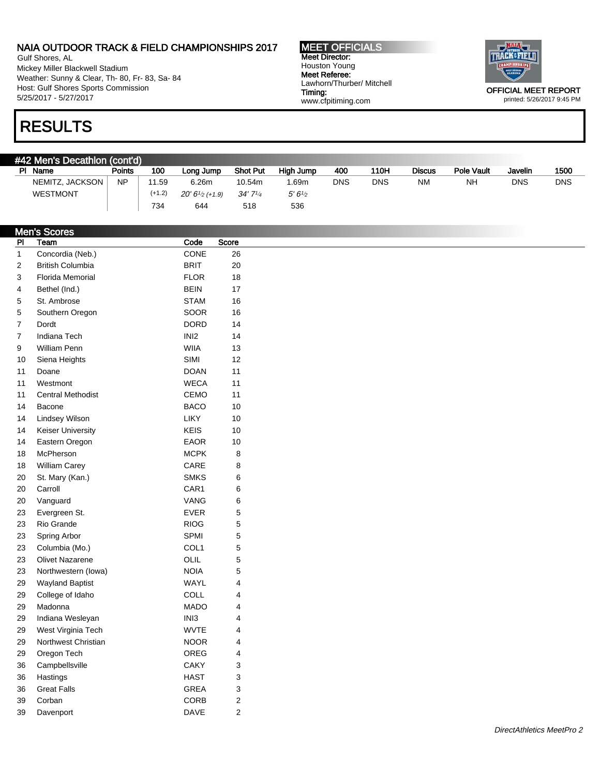Gulf Shores, AL Mickey Miller Blackwell Stadium Weather: Sunny & Clear, Th- 80, Fr- 83, Sa- 84 Host: Gulf Shores Sports Commission 5/25/2017 - 5/27/2017

MEET OFFICIALS Meet Director: Houston Young Meet Referee: Lawhorn/Thurber/ Mitchell Timing: www.cfpitiming.com



printed: 5/26/2017 9:45 PM

## RESULTS

| #42 Men's Decathlon (cont'd) |           |          |                  |                 |                    |            |      |               |            |            |            |  |
|------------------------------|-----------|----------|------------------|-----------------|--------------------|------------|------|---------------|------------|------------|------------|--|
| PI<br>Name                   | Points    | 100      | Long Jump        | <b>Shot Put</b> | High Jump          | 400        | 110H | <b>Discus</b> | Pole Vault | Javelin    | 1500       |  |
| NEMITZ, JACKSON              | <b>NP</b> | 11.59    | 6.26m            | 10.54m          | .69m               | <b>DNS</b> | DNS  | <b>NM</b>     | <b>NH</b>  | <b>DNS</b> | <b>DNS</b> |  |
| <b>WESTMONT</b>              |           | $(+1.2)$ | $20'6''2$ (+1.9) | 34'7'4          | 5'6'' <sub>2</sub> |            |      |               |            |            |            |  |
|                              |           | 734      | 644              | 518             | 536                |            |      |               |            |            |            |  |

|                | <b>Men's Scores</b>      |                  |                           |
|----------------|--------------------------|------------------|---------------------------|
| P <sub>1</sub> | Team                     | Code             | Score                     |
| $\mathbf{1}$   | Concordia (Neb.)         | CONE             | 26                        |
| $\overline{c}$ | <b>British Columbia</b>  | <b>BRIT</b>      | 20                        |
| 3              | <b>Florida Memorial</b>  | <b>FLOR</b>      | $18$                      |
| 4              | Bethel (Ind.)            | <b>BEIN</b>      | 17                        |
| 5              | St. Ambrose              | <b>STAM</b>      | 16                        |
| 5              | Southern Oregon          | <b>SOOR</b>      | 16                        |
| $\overline{7}$ | Dordt                    | <b>DORD</b>      | 14                        |
| $\overline{7}$ | Indiana Tech             | INI <sub>2</sub> | 14                        |
| 9              | William Penn             | <b>WIIA</b>      | 13                        |
| 10             | Siena Heights            | SIMI             | 12                        |
| 11             | Doane                    | <b>DOAN</b>      | 11                        |
| 11             | Westmont                 | <b>WECA</b>      | 11                        |
| 11             | <b>Central Methodist</b> | CEMO             | 11                        |
| 14             | Bacone                   | <b>BACO</b>      | 10                        |
| 14             | <b>Lindsey Wilson</b>    | LIKY             | $10$                      |
| 14             | <b>Keiser University</b> | <b>KEIS</b>      | $10$                      |
| 14             | Eastern Oregon           | <b>EAOR</b>      | $10$                      |
| 18             | McPherson                | <b>MCPK</b>      | $\bf 8$                   |
| 18             | William Carey            | CARE             | $\bf 8$                   |
| 20             | St. Mary (Kan.)          | <b>SMKS</b>      | 6                         |
| 20             | Carroll                  | CAR1             | $\,6$                     |
| 20             | Vanguard                 | VANG             | 6                         |
| 23             | Evergreen St.            | EVER             | $\sqrt{5}$                |
| 23             | Rio Grande               | <b>RIOG</b>      | $\mathbf 5$               |
| 23             | Spring Arbor             | SPMI             | $\mathbf 5$               |
| 23             | Columbia (Mo.)           | COL1             | $\mathbf 5$               |
| 23             | <b>Olivet Nazarene</b>   | OLIL             | 5                         |
| 23             | Northwestern (lowa)      | <b>NOIA</b>      | 5                         |
| 29             | <b>Wayland Baptist</b>   | WAYL             | $\overline{4}$            |
| 29             | College of Idaho         | COLL             | $\overline{4}$            |
| 29             | Madonna                  | <b>MADO</b>      | $\overline{4}$            |
| 29             | Indiana Wesleyan         | INI3             | $\overline{4}$            |
| 29             | West Virginia Tech       | <b>WVTE</b>      | $\overline{4}$            |
| 29             | Northwest Christian      | <b>NOOR</b>      | 4                         |
| 29             | Oregon Tech              | OREG             | 4                         |
| 36             | Campbellsville           | CAKY             | 3                         |
| 36             | Hastings                 | <b>HAST</b>      | $\ensuremath{\mathsf{3}}$ |
| 36             | <b>Great Falls</b>       | <b>GREA</b>      | 3                         |
| 39             | Corban                   | CORB             | $\sqrt{2}$                |
| 39             | Davenport                | <b>DAVE</b>      | $\overline{2}$            |
|                |                          |                  |                           |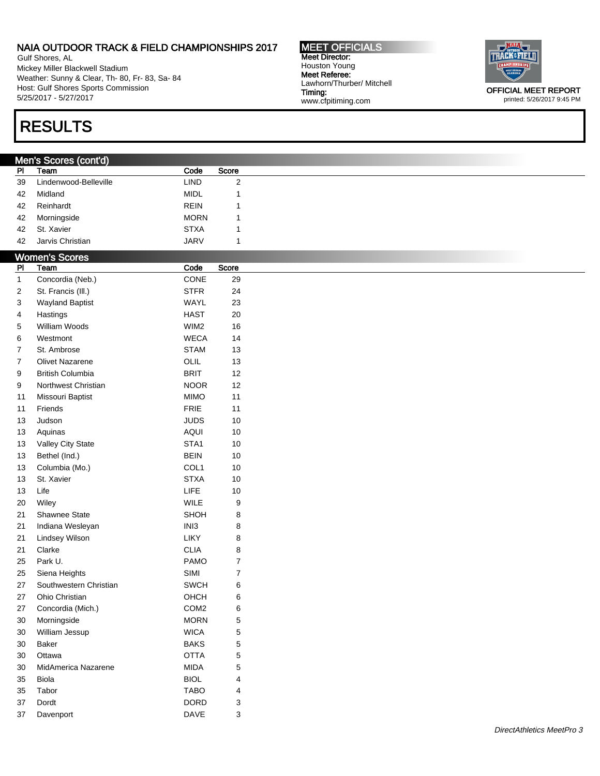Gulf Shores, AL Mickey Miller Blackwell Stadium Weather: Sunny & Clear, Th- 80, Fr- 83, Sa- 84 Host: Gulf Shores Sports Commission 5/25/2017 - 5/27/2017

## RESULTS

### Men's Scores (cont'd)

| <b>PI</b> | Team                  | Code        | Score |
|-----------|-----------------------|-------------|-------|
| 39        | Lindenwood-Belleville | LIND.       | 2     |
| 42        | Midland               | <b>MIDL</b> |       |
| 42        | Reinhardt             | <b>REIN</b> |       |
| 42        | Morningside           | <b>MORN</b> |       |
| 42        | St. Xavier            | <b>STXA</b> |       |
| 42        | Jarvis Christian      | <b>JARV</b> |       |

Timing:

www.cfpitiming.com

| PI               | Team                    | Code             | Score                   |  |
|------------------|-------------------------|------------------|-------------------------|--|
| $\mathbf{1}$     | Concordia (Neb.)        | CONE             | 29                      |  |
| 2                | St. Francis (III.)      | <b>STFR</b>      | 24                      |  |
| 3                | <b>Wayland Baptist</b>  | WAYL             | 23                      |  |
| 4                | Hastings                | <b>HAST</b>      | 20                      |  |
| 5                | William Woods           | WIM2             | 16                      |  |
| 6                | Westmont                | <b>WECA</b>      | 14                      |  |
| 7                | St. Ambrose             | <b>STAM</b>      | 13                      |  |
| $\boldsymbol{7}$ | Olivet Nazarene         | OLIL             | 13                      |  |
| 9                | <b>British Columbia</b> | <b>BRIT</b>      | 12                      |  |
| 9                | Northwest Christian     | <b>NOOR</b>      | 12                      |  |
| 11               | Missouri Baptist        | <b>MIMO</b>      | 11                      |  |
| 11               | Friends                 | FRIE             | 11                      |  |
| 13               | Judson                  | <b>JUDS</b>      | 10                      |  |
| 13               | Aquinas                 | <b>AQUI</b>      | $10$                    |  |
| 13               | Valley City State       | STA1             | $10$                    |  |
| 13               | Bethel (Ind.)           | <b>BEIN</b>      | $10$                    |  |
| 13               | Columbia (Mo.)          | COL1             | $10$                    |  |
| 13               | St. Xavier              | <b>STXA</b>      | $10$                    |  |
| 13               | Life                    | LIFE             | $10$                    |  |
| $20\,$           | Wiley                   | WILE             | $\boldsymbol{9}$        |  |
| 21               | Shawnee State           | SHOH             | 8                       |  |
| 21               | Indiana Wesleyan        | INI3             | 8                       |  |
| 21               | Lindsey Wilson          | LIKY             | 8                       |  |
| 21               | Clarke                  | <b>CLIA</b>      | 8                       |  |
| 25               | Park U.                 | <b>PAMO</b>      | $\overline{7}$          |  |
| 25               | Siena Heights           | SIMI             | $\boldsymbol{7}$        |  |
| 27               | Southwestern Christian  | <b>SWCH</b>      | 6                       |  |
| 27               | Ohio Christian          | OHCH             | 6                       |  |
| 27               | Concordia (Mich.)       | COM <sub>2</sub> | 6                       |  |
| $30\,$           | Morningside             | <b>MORN</b>      | 5                       |  |
| 30               | William Jessup          | <b>WICA</b>      | 5                       |  |
| 30               | <b>Baker</b>            | <b>BAKS</b>      | 5                       |  |
| $30\,$           | Ottawa                  | <b>OTTA</b>      | 5                       |  |
| 30               | MidAmerica Nazarene     | <b>MIDA</b>      | 5                       |  |
| 35               | <b>Biola</b>            | <b>BIOL</b>      | $\overline{\mathbf{4}}$ |  |
| 35               | Tabor                   | <b>TABO</b>      | 4                       |  |
| 37               | Dordt                   | <b>DORD</b>      | 3                       |  |
| 37               | Davenport               | DAVE             | 3                       |  |

MEET OFFICIALS Meet Director: Houston Young Meet Referee: Lawhorn/Thurber/ Mitchell



printed: 5/26/2017 9:45 PM